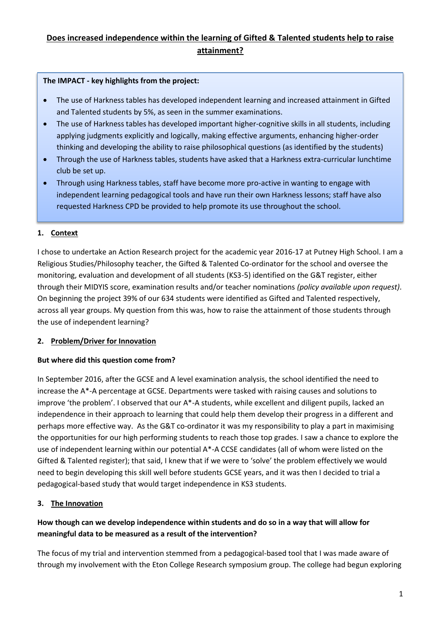# **Does increased independence within the learning of Gifted & Talented students help to raise attainment?**

#### **The IMPACT - key highlights from the project:**

- The use of Harkness tables has developed independent learning and increased attainment in Gifted and Talented students by 5%, as seen in the summer examinations.
- The use of Harkness tables has developed important higher-cognitive skills in all students, including applying judgments explicitly and logically, making effective arguments, enhancing higher-order thinking and developing the ability to raise philosophical questions (as identified by the students)
- Through the use of Harkness tables, students have asked that a Harkness extra-curricular lunchtime club be set up.
- Through using Harkness tables, staff have become more pro-active in wanting to engage with independent learning pedagogical tools and have run their own Harkness lessons; staff have also requested Harkness CPD be provided to help promote its use throughout the school.

### **1. Context**

I chose to undertake an Action Research project for the academic year 2016-17 at Putney High School. I am a Religious Studies/Philosophy teacher, the Gifted & Talented Co-ordinator for the school and oversee the monitoring, evaluation and development of all students (KS3-5) identified on the G&T register, either through their MIDYIS score, examination results and/or teacher nominations *(policy available upon request)*. On beginning the project 39% of our 634 students were identified as Gifted and Talented respectively, across all year groups. My question from this was, how to raise the attainment of those students through the use of independent learning?

### **2. Problem/Driver for Innovation**

### **But where did this question come from?**

In September 2016, after the GCSE and A level examination analysis, the school identified the need to increase the A\*-A percentage at GCSE. Departments were tasked with raising causes and solutions to improve 'the problem'. I observed that our A\*-A students, while excellent and diligent pupils, lacked an independence in their approach to learning that could help them develop their progress in a different and perhaps more effective way. As the G&T co-ordinator it was my responsibility to play a part in maximising the opportunities for our high performing students to reach those top grades. I saw a chance to explore the use of independent learning within our potential A\*-A CCSE candidates (all of whom were listed on the Gifted & Talented register); that said, I knew that if we were to 'solve' the problem effectively we would need to begin developing this skill well before students GCSE years, and it was then I decided to trial a pedagogical-based study that would target independence in KS3 students.

### **3. The Innovation**

# **How though can we develop independence within students and do so in a way that will allow for meaningful data to be measured as a result of the intervention?**

The focus of my trial and intervention stemmed from a pedagogical-based tool that I was made aware of through my involvement with the Eton College Research symposium group. The college had begun exploring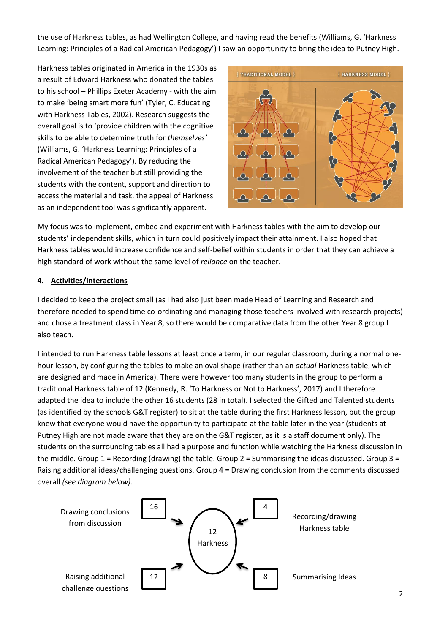the use of Harkness tables, as had Wellington College, and having read the benefits (Williams, G. 'Harkness Learning: Principles of a Radical American Pedagogy') I saw an opportunity to bring the idea to Putney High.

Harkness tables originated in America in the 1930s as a result of Edward Harkness who donated the tables to his school – Phillips Exeter Academy - with the aim to make 'being smart more fun' (Tyler, C. Educating with Harkness Tables, 2002). Research suggests the overall goal is to 'provide children with the cognitive skills to be able to determine truth for *themselves'* (Williams, G. 'Harkness Learning: Principles of a Radical American Pedagogy'). By reducing the involvement of the teacher but still providing the students with the content, support and direction to access the material and task, the appeal of Harkness as an independent tool was significantly apparent.



My focus was to implement, embed and experiment with Harkness tables with the aim to develop our students' independent skills, which in turn could positively impact their attainment. I also hoped that Harkness tables would increase confidence and self-belief within students in order that they can achieve a high standard of work without the same level of *reliance* on the teacher.

### **4. Activities/Interactions**

I decided to keep the project small (as I had also just been made Head of Learning and Research and therefore needed to spend time co-ordinating and managing those teachers involved with research projects) and chose a treatment class in Year 8, so there would be comparative data from the other Year 8 group I also teach.

I intended to run Harkness table lessons at least once a term, in our regular classroom, during a normal onehour lesson, by configuring the tables to make an oval shape (rather than an *actual* Harkness table, which are designed and made in America). There were however too many students in the group to perform a traditional Harkness table of 12 (Kennedy, R. 'To Harkness or Not to Harkness', 2017) and I therefore adapted the idea to include the other 16 students (28 in total). I selected the Gifted and Talented students (as identified by the schools G&T register) to sit at the table during the first Harkness lesson, but the group knew that everyone would have the opportunity to participate at the table later in the year (students at Putney High are not made aware that they are on the G&T register, as it is a staff document only). The students on the surrounding tables all had a purpose and function while watching the Harkness discussion in the middle. Group  $1$  = Recording (drawing) the table. Group  $2$  = Summarising the ideas discussed. Group  $3$  = Raising additional ideas/challenging questions. Group 4 = Drawing conclusion from the comments discussed overall *(see diagram below).*

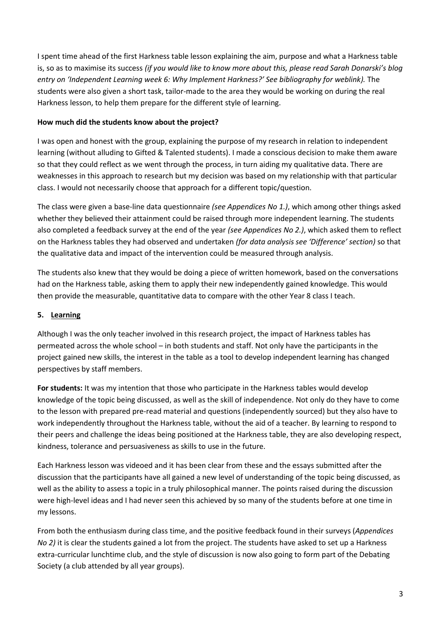I spent time ahead of the first Harkness table lesson explaining the aim, purpose and what a Harkness table is, so as to maximise its success *(if you would like to know more about this, please read Sarah Donarski's blog entry on 'Independent Learning week 6: Why Implement Harkness?' See bibliography for weblink).* The students were also given a short task, tailor-made to the area they would be working on during the real Harkness lesson, to help them prepare for the different style of learning.

### **How much did the students know about the project?**

I was open and honest with the group, explaining the purpose of my research in relation to independent learning (without alluding to Gifted & Talented students). I made a conscious decision to make them aware so that they could reflect as we went through the process, in turn aiding my qualitative data. There are weaknesses in this approach to research but my decision was based on my relationship with that particular class. I would not necessarily choose that approach for a different topic/question.

The class were given a base-line data questionnaire *(see Appendices No 1.)*, which among other things asked whether they believed their attainment could be raised through more independent learning. The students also completed a feedback survey at the end of the year *(see Appendices No 2.)*, which asked them to reflect on the Harkness tables they had observed and undertaken *(for data analysis see 'Difference' section)* so that the qualitative data and impact of the intervention could be measured through analysis.

The students also knew that they would be doing a piece of written homework, based on the conversations had on the Harkness table, asking them to apply their new independently gained knowledge. This would then provide the measurable, quantitative data to compare with the other Year 8 class I teach.

# **5. Learning**

Although I was the only teacher involved in this research project, the impact of Harkness tables has permeated across the whole school – in both students and staff. Not only have the participants in the project gained new skills, the interest in the table as a tool to develop independent learning has changed perspectives by staff members.

**For students:** It was my intention that those who participate in the Harkness tables would develop knowledge of the topic being discussed, as well as the skill of independence. Not only do they have to come to the lesson with prepared pre-read material and questions (independently sourced) but they also have to work independently throughout the Harkness table, without the aid of a teacher. By learning to respond to their peers and challenge the ideas being positioned at the Harkness table, they are also developing respect, kindness, tolerance and persuasiveness as skills to use in the future.

Each Harkness lesson was videoed and it has been clear from these and the essays submitted after the discussion that the participants have all gained a new level of understanding of the topic being discussed, as well as the ability to assess a topic in a truly philosophical manner. The points raised during the discussion were high-level ideas and I had never seen this achieved by so many of the students before at one time in my lessons.

From both the enthusiasm during class time, and the positive feedback found in their surveys (*Appendices No 2)* it is clear the students gained a lot from the project. The students have asked to set up a Harkness extra-curricular lunchtime club, and the style of discussion is now also going to form part of the Debating Society (a club attended by all year groups).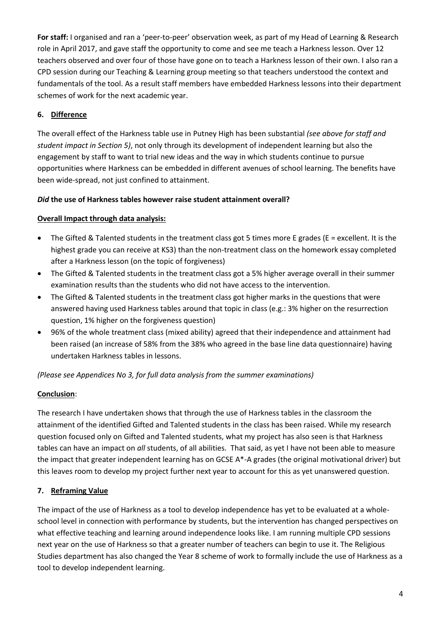**For staff:** I organised and ran a 'peer-to-peer' observation week, as part of my Head of Learning & Research role in April 2017, and gave staff the opportunity to come and see me teach a Harkness lesson. Over 12 teachers observed and over four of those have gone on to teach a Harkness lesson of their own. I also ran a CPD session during our Teaching & Learning group meeting so that teachers understood the context and fundamentals of the tool. As a result staff members have embedded Harkness lessons into their department schemes of work for the next academic year.

### **6. Difference**

The overall effect of the Harkness table use in Putney High has been substantial *(see above for staff and student impact in Section 5)*, not only through its development of independent learning but also the engagement by staff to want to trial new ideas and the way in which students continue to pursue opportunities where Harkness can be embedded in different avenues of school learning. The benefits have been wide-spread, not just confined to attainment.

### *Did* **the use of Harkness tables however raise student attainment overall?**

### **Overall Impact through data analysis:**

- $\bullet$  The Gifted & Talented students in the treatment class got 5 times more E grades (E = excellent. It is the highest grade you can receive at KS3) than the non-treatment class on the homework essay completed after a Harkness lesson (on the topic of forgiveness)
- The Gifted & Talented students in the treatment class got a 5% higher average overall in their summer examination results than the students who did not have access to the intervention.
- The Gifted & Talented students in the treatment class got higher marks in the questions that were answered having used Harkness tables around that topic in class (e.g.: 3% higher on the resurrection question, 1% higher on the forgiveness question)
- 96% of the whole treatment class (mixed ability) agreed that their independence and attainment had been raised (an increase of 58% from the 38% who agreed in the base line data questionnaire) having undertaken Harkness tables in lessons.

### *(Please see Appendices No 3, for full data analysis from the summer examinations)*

### **Conclusion**:

The research I have undertaken shows that through the use of Harkness tables in the classroom the attainment of the identified Gifted and Talented students in the class has been raised. While my research question focused only on Gifted and Talented students, what my project has also seen is that Harkness tables can have an impact on *all* students, of all abilities. That said, as yet I have not been able to measure the impact that greater independent learning has on GCSE A\*-A grades (the original motivational driver) but this leaves room to develop my project further next year to account for this as yet unanswered question.

# **7. Reframing Value**

The impact of the use of Harkness as a tool to develop independence has yet to be evaluated at a wholeschool level in connection with performance by students, but the intervention has changed perspectives on what effective teaching and learning around independence looks like. I am running multiple CPD sessions next year on the use of Harkness so that a greater number of teachers can begin to use it. The Religious Studies department has also changed the Year 8 scheme of work to formally include the use of Harkness as a tool to develop independent learning.